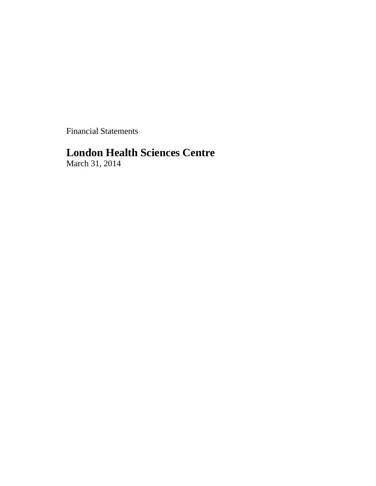Financial Statements

# **London Health Sciences Centre**

March 31, 2014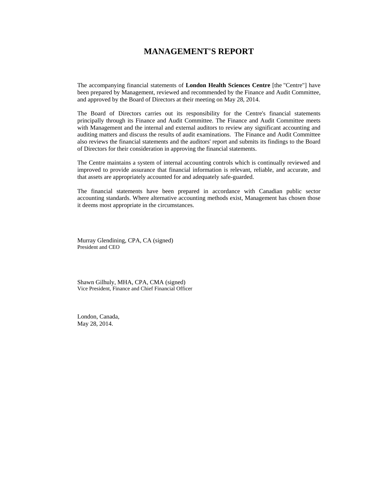## **MANAGEMENT'S REPORT**

The accompanying financial statements of **London Health Sciences Centre** [the "Centre"] have been prepared by Management, reviewed and recommended by the Finance and Audit Committee, and approved by the Board of Directors at their meeting on May 28, 2014.

The Board of Directors carries out its responsibility for the Centre's financial statements principally through its Finance and Audit Committee. The Finance and Audit Committee meets with Management and the internal and external auditors to review any significant accounting and auditing matters and discuss the results of audit examinations. The Finance and Audit Committee also reviews the financial statements and the auditors' report and submits its findings to the Board of Directors for their consideration in approving the financial statements.

The Centre maintains a system of internal accounting controls which is continually reviewed and improved to provide assurance that financial information is relevant, reliable, and accurate, and that assets are appropriately accounted for and adequately safe-guarded.

The financial statements have been prepared in accordance with Canadian public sector accounting standards. Where alternative accounting methods exist, Management has chosen those it deems most appropriate in the circumstances.

Murray Glendining, CPA, CA (signed) President and CEO

Shawn Gilhuly, MHA, CPA, CMA (signed) Vice President, Finance and Chief Financial Officer

London, Canada, May 28, 2014.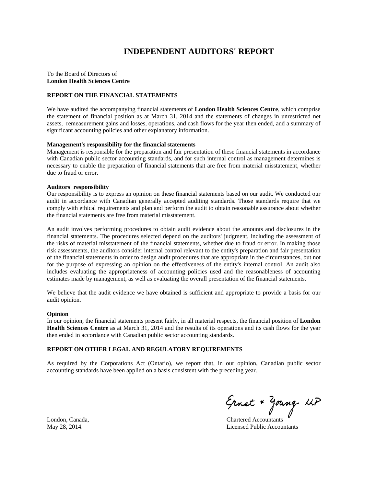## **INDEPENDENT AUDITORS' REPORT**

To the Board of Directors of **London Health Sciences Centre** 

#### **REPORT ON THE FINANCIAL STATEMENTS**

We have audited the accompanying financial statements of **London Health Sciences Centre**, which comprise the statement of financial position as at March 31, 2014 and the statements of changes in unrestricted net assets, remeasurement gains and losses, operations, and cash flows for the year then ended, and a summary of significant accounting policies and other explanatory information.

#### **Management's responsibility for the financial statements**

Management is responsible for the preparation and fair presentation of these financial statements in accordance with Canadian public sector accounting standards, and for such internal control as management determines is necessary to enable the preparation of financial statements that are free from material misstatement, whether due to fraud or error.

#### **Auditors' responsibility**

Our responsibility is to express an opinion on these financial statements based on our audit. We conducted our audit in accordance with Canadian generally accepted auditing standards. Those standards require that we comply with ethical requirements and plan and perform the audit to obtain reasonable assurance about whether the financial statements are free from material misstatement.

An audit involves performing procedures to obtain audit evidence about the amounts and disclosures in the financial statements. The procedures selected depend on the auditors' judgment, including the assessment of the risks of material misstatement of the financial statements, whether due to fraud or error. In making those risk assessments, the auditors consider internal control relevant to the entity's preparation and fair presentation of the financial statements in order to design audit procedures that are appropriate in the circumstances, but not for the purpose of expressing an opinion on the effectiveness of the entity's internal control. An audit also includes evaluating the appropriateness of accounting policies used and the reasonableness of accounting estimates made by management, as well as evaluating the overall presentation of the financial statements.

We believe that the audit evidence we have obtained is sufficient and appropriate to provide a basis for our audit opinion.

#### **Opinion**

In our opinion, the financial statements present fairly, in all material respects, the financial position of **London Health Sciences Centre** as at March 31, 2014 and the results of its operations and its cash flows for the year then ended in accordance with Canadian public sector accounting standards.

#### **REPORT ON OTHER LEGAL AND REGULATORY REQUIREMENTS**

As required by the Corporations Act (Ontario), we report that, in our opinion, Canadian public sector accounting standards have been applied on a basis consistent with the preceding year.

Ernst & Young UP<br>London, Canada, Chartered Accountants

May 28, 2014. Licensed Public Accountants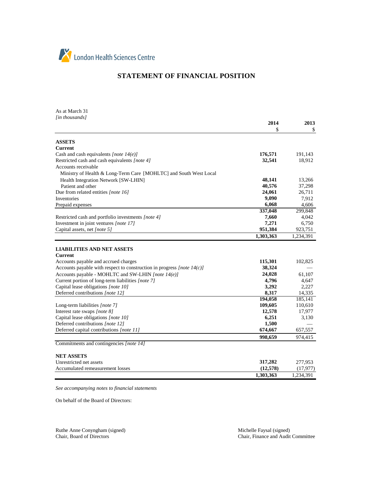

## **STATEMENT OF FINANCIAL POSITION**

As at March 31 *[in thousands]*

|                                                                           | 2014<br>S        | 2013<br>\$.       |
|---------------------------------------------------------------------------|------------------|-------------------|
|                                                                           |                  |                   |
| <b>ASSETS</b>                                                             |                  |                   |
| <b>Current</b>                                                            |                  |                   |
| Cash and cash equivalents [note $14(e)$ ]                                 | 176,571          | 191,143           |
| Restricted cash and cash equivalents [note 4]                             | 32,541           | 18,912            |
| Accounts receivable                                                       |                  |                   |
| Ministry of Health & Long-Term Care [MOHLTC] and South West Local         |                  |                   |
| Health Integration Network [SW-LHIN]                                      | 48,141           | 13,266            |
| Patient and other                                                         | 40,576           | 37,298            |
| Due from related entities [note 16]                                       | 24,061           | 26,711            |
| Inventories                                                               | 9,090            | 7,912             |
| Prepaid expenses                                                          | 6,068            | 4,606             |
|                                                                           | 337,048          | 299,848           |
| Restricted cash and portfolio investments [note 4]                        | 7,660            | 4,042             |
| Investment in joint ventures [note 17]                                    | 7,271            | 6,750             |
| Capital assets, net [note 5]                                              | 951,384          | 923,751           |
|                                                                           | 1,303,363        | 1,234,391         |
|                                                                           |                  |                   |
| <b>LIABILITIES AND NET ASSETS</b>                                         |                  |                   |
| <b>Current</b>                                                            | 115,301          | 102,825           |
| Accounts payable and accrued charges                                      | 38,324           |                   |
| Accounts payable with respect to construction in progress [note $14(c)$ ] |                  |                   |
| Accounts payable - MOHLTC and SW-LHIN [note 14(e)]                        | 24,028           | 61,107            |
| Current portion of long-term liabilities [note 7]                         | 4,796            | 4,647             |
| Capital lease obligations [note 10]                                       | 3,292            | 2,227             |
| Deferred contributions [note 12]                                          | 8,317<br>194,058 | 14,335<br>185,141 |
|                                                                           | 109,605          | 110,610           |
| Long-term liabilities [note 7]<br>Interest rate swaps [note 8]            | 12,578           | 17,977            |
|                                                                           | 6,251            | 3,130             |
| Capital lease obligations [note 10]<br>Deferred contributions [note 12]   | 1,500            |                   |
| Deferred capital contributions [note 11]                                  | 674,667          |                   |
|                                                                           |                  | 657,557           |
|                                                                           | 998.659          | 974,415           |
| Commitments and contingencies [note 14]                                   |                  |                   |
| <b>NET ASSETS</b>                                                         |                  |                   |
| Unrestricted net assets                                                   | 317,282          | 277,953           |
| Accumulated remeasurement losses                                          | (12,578)         | (17, 977)         |

*See accompanying notes to financial statements*

On behalf of the Board of Directors:

Ruthe Anne Conyngham (signed) Michelle Faysal (signed) Michelle Faysal (signed) Chair, Board of Directors

**1,303,363** 1,234,391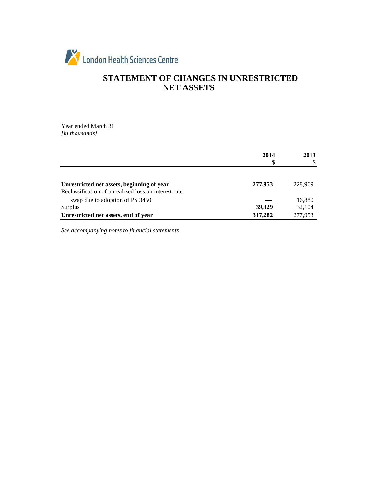

## **STATEMENT OF CHANGES IN UNRESTRICTED NET ASSETS**

Year ended March 31 *[in thousands]*

|                                                                                                    | 2014<br>S | 2013<br>S        |
|----------------------------------------------------------------------------------------------------|-----------|------------------|
| Unrestricted net assets, beginning of year                                                         | 277,953   | 228,969          |
| Reclassification of unrealized loss on interest rate<br>swap due to adoption of PS 3450<br>Surplus | 39,329    | 16,880<br>32,104 |
| Unrestricted net assets, end of year                                                               | 317,282   | 277,953          |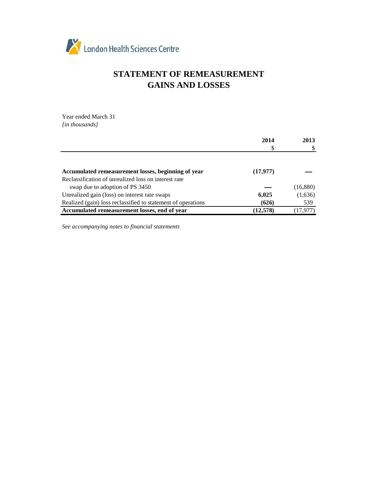

## **STATEMENT OF REMEASUREMENT GAINS AND LOSSES**

Year ended March 31 *[in thousands]*

|                                                              | 2014      | 2013     |
|--------------------------------------------------------------|-----------|----------|
|                                                              |           |          |
|                                                              |           |          |
| Accumulated remeasurement losses, beginning of year          | (17, 977) |          |
| Reclassification of unrealized loss on interest rate         |           |          |
| swap due to adoption of PS 3450                              |           | (16,880) |
| Unrealized gain (loss) on interest rate swaps                | 6,025     | (1,636)  |
| Realized (gain) loss reclassified to statement of operations | (626)     | 539      |
| Accumulated remeasurement losses, end of year                | (12,578)  | (17,977) |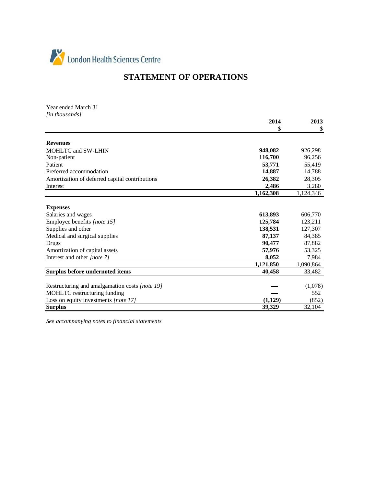

## **STATEMENT OF OPERATIONS**

Year ended March 31 *[in thousands]*

|                                                | 2014      | 2013      |
|------------------------------------------------|-----------|-----------|
|                                                | S         | \$        |
| <b>Revenues</b>                                |           |           |
| <b>MOHLTC and SW-LHIN</b>                      | 948,082   | 926,298   |
| Non-patient                                    | 116,700   | 96,256    |
| Patient                                        | 53,771    | 55,419    |
| Preferred accommodation                        | 14,887    | 14,788    |
| Amortization of deferred capital contributions | 26,382    | 28,305    |
| Interest                                       | 2,486     | 3,280     |
|                                                | 1,162,308 | 1,124,346 |
|                                                |           |           |
| <b>Expenses</b>                                |           |           |
| Salaries and wages                             | 613,893   | 606,770   |
| Employee benefits [note 15]                    | 125,784   | 123,211   |
| Supplies and other                             | 138,531   | 127,307   |
| Medical and surgical supplies                  | 87,137    | 84,385    |
| Drugs                                          | 90,477    | 87,882    |
| Amortization of capital assets                 | 57,976    | 53,325    |
| Interest and other [note 7]                    | 8,052     | 7,984     |
|                                                | 1,121,850 | 1,090,864 |
| Surplus before undernoted items                | 40,458    | 33,482    |
| Restructuring and amalgamation costs [note 19] |           | (1,078)   |
| MOHLTC restructuring funding                   |           | 552       |
| Loss on equity investments [note 17]           | (1,129)   | (852)     |
| <b>Surplus</b>                                 | 39,329    | 32,104    |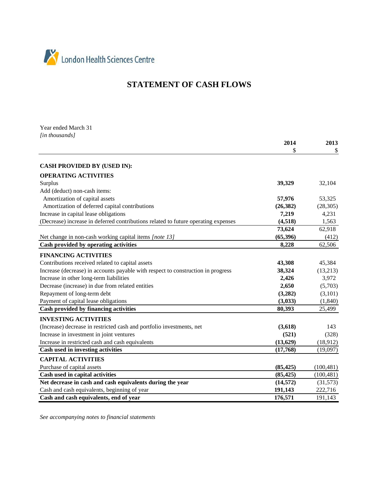

## **STATEMENT OF CASH FLOWS**

Year ended March 31 *[in thousands]*

|                                                                                    | 2014      | 2013       |
|------------------------------------------------------------------------------------|-----------|------------|
|                                                                                    | \$        | \$         |
|                                                                                    |           |            |
| <b>CASH PROVIDED BY (USED IN):</b>                                                 |           |            |
| <b>OPERATING ACTIVITIES</b>                                                        |           |            |
| Surplus                                                                            | 39,329    | 32,104     |
| Add (deduct) non-cash items:                                                       |           |            |
| Amortization of capital assets                                                     | 57,976    | 53,325     |
| Amortization of deferred capital contributions                                     | (26, 382) | (28, 305)  |
| Increase in capital lease obligations                                              | 7,219     | 4,231      |
| (Decrease) increase in deferred contributions related to future operating expenses | (4, 518)  | 1,563      |
|                                                                                    | 73,624    | 62,918     |
| Net change in non-cash working capital items [note 13]                             | (65,396)  | (412)      |
| Cash provided by operating activities                                              | 8,228     | 62,506     |
| <b>FINANCING ACTIVITIES</b>                                                        |           |            |
| Contributions received related to capital assets                                   | 43,308    | 45,384     |
| Increase (decrease) in accounts payable with respect to construction in progress   | 38,324    | (13,213)   |
| Increase in other long-term liabilities                                            | 2,426     | 3,972      |
| Decrease (increase) in due from related entities                                   | 2,650     | (5,703)    |
| Repayment of long-term debt                                                        | (3,282)   | (3,101)    |
| Payment of capital lease obligations                                               | (3,033)   | (1, 840)   |
| Cash provided by financing activities                                              | 80,393    | 25,499     |
| <b>INVESTING ACTIVITIES</b>                                                        |           |            |
| (Increase) decrease in restricted cash and portfolio investments, net              | (3,618)   | 143        |
| Increase in investment in joint ventures                                           | (521)     | (328)      |
| Increase in restricted cash and cash equivalents                                   | (13, 629) | (18, 912)  |
| Cash used in investing activities                                                  | (17,768)  | (19,097)   |
| <b>CAPITAL ACTIVITIES</b>                                                          |           |            |
| Purchase of capital assets                                                         | (85, 425) | (100, 481) |
| Cash used in capital activities                                                    | (85, 425) | (100, 481) |
| Net decrease in cash and cash equivalents during the year                          | (14, 572) | (31,573)   |
| Cash and cash equivalents, beginning of year                                       | 191,143   | 222,716    |
| Cash and cash equivalents, end of year                                             | 176,571   | 191,143    |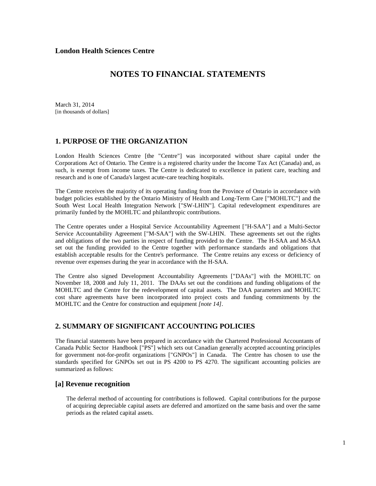March 31, 2014 [in thousands of dollars]

### **1. PURPOSE OF THE ORGANIZATION**

London Health Sciences Centre [the "Centre"] was incorporated without share capital under the Corporations Act of Ontario. The Centre is a registered charity under the Income Tax Act (Canada) and, as such, is exempt from income taxes. The Centre is dedicated to excellence in patient care, teaching and research and is one of Canada's largest acute-care teaching hospitals.

The Centre receives the majority of its operating funding from the Province of Ontario in accordance with budget policies established by the Ontario Ministry of Health and Long-Term Care ["MOHLTC"] and the South West Local Health Integration Network ["SW-LHIN"]. Capital redevelopment expenditures are primarily funded by the MOHLTC and philanthropic contributions.

The Centre operates under a Hospital Service Accountability Agreement ["H-SAA"] and a Multi-Sector Service Accountability Agreement ["M-SAA"] with the SW-LHIN. These agreements set out the rights and obligations of the two parties in respect of funding provided to the Centre. The H-SAA and M-SAA set out the funding provided to the Centre together with performance standards and obligations that establish acceptable results for the Centre's performance. The Centre retains any excess or deficiency of revenue over expenses during the year in accordance with the H-SAA.

The Centre also signed Development Accountability Agreements ["DAAs"] with the MOHLTC on November 18, 2008 and July 11, 2011. The DAAs set out the conditions and funding obligations of the MOHLTC and the Centre for the redevelopment of capital assets. The DAA parameters and MOHLTC cost share agreements have been incorporated into project costs and funding commitments by the MOHLTC and the Centre for construction and equipment *[note 14].*

## **2. SUMMARY OF SIGNIFICANT ACCOUNTING POLICIES**

The financial statements have been prepared in accordance with the Chartered Professional Accountants of Canada Public Sector Handbook ["PS"] which sets out Canadian generally accepted accounting principles for government not-for-profit organizations ["GNPOs"] in Canada. The Centre has chosen to use the standards specified for GNPOs set out in PS 4200 to PS 4270. The significant accounting policies are summarized as follows:

### **[a] Revenue recognition**

 The deferral method of accounting for contributions is followed. Capital contributions for the purpose of acquiring depreciable capital assets are deferred and amortized on the same basis and over the same periods as the related capital assets.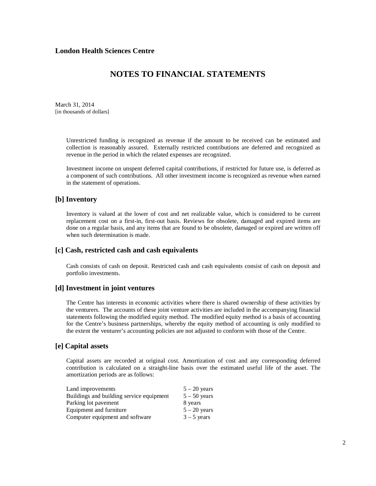## **NOTES TO FINANCIAL STATEMENTS**

March 31, 2014 [in thousands of dollars]

> Unrestricted funding is recognized as revenue if the amount to be received can be estimated and collection is reasonably assured. Externally restricted contributions are deferred and recognized as revenue in the period in which the related expenses are recognized.

> Investment income on unspent deferred capital contributions, if restricted for future use, is deferred as a component of such contributions. All other investment income is recognized as revenue when earned in the statement of operations.

### **[b] Inventory**

Inventory is valued at the lower of cost and net realizable value, which is considered to be current replacement cost on a first-in, first-out basis. Reviews for obsolete, damaged and expired items are done on a regular basis, and any items that are found to be obsolete, damaged or expired are written off when such determination is made.

### **[c] Cash, restricted cash and cash equivalents**

Cash consists of cash on deposit. Restricted cash and cash equivalents consist of cash on deposit and portfolio investments.

#### **[d] Investment in joint ventures**

 The Centre has interests in economic activities where there is shared ownership of these activities by the venturers. The accounts of these joint venture activities are included in the accompanying financial statements following the modified equity method. The modified equity method is a basis of accounting for the Centre's business partnerships, whereby the equity method of accounting is only modified to the extent the venturer's accounting policies are not adjusted to conform with those of the Centre.

### **[e] Capital assets**

 Capital assets are recorded at original cost. Amortization of cost and any corresponding deferred contribution is calculated on a straight-line basis over the estimated useful life of the asset. The amortization periods are as follows:

| $5 - 20$ years |
|----------------|
| $5 - 50$ years |
| 8 years        |
| $5 - 20$ years |
| $3 - 5$ years  |
|                |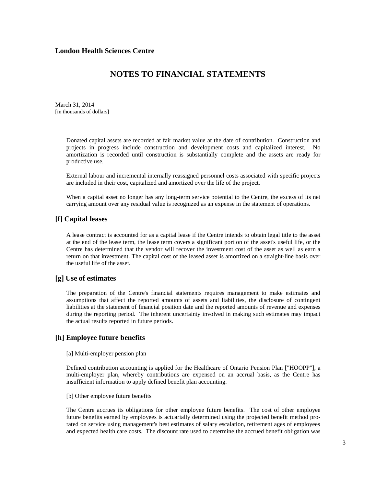## **NOTES TO FINANCIAL STATEMENTS**

March 31, 2014 [in thousands of dollars]

> Donated capital assets are recorded at fair market value at the date of contribution. Construction and projects in progress include construction and development costs and capitalized interest. No amortization is recorded until construction is substantially complete and the assets are ready for productive use.

> External labour and incremental internally reassigned personnel costs associated with specific projects are included in their cost, capitalized and amortized over the life of the project.

> When a capital asset no longer has any long-term service potential to the Centre, the excess of its net carrying amount over any residual value is recognized as an expense in the statement of operations.

### **[f] Capital leases**

A lease contract is accounted for as a capital lease if the Centre intends to obtain legal title to the asset at the end of the lease term, the lease term covers a significant portion of the asset's useful life, or the Centre has determined that the vendor will recover the investment cost of the asset as well as earn a return on that investment. The capital cost of the leased asset is amortized on a straight-line basis over the useful life of the asset.

### **[g] Use of estimates**

 The preparation of the Centre's financial statements requires management to make estimates and assumptions that affect the reported amounts of assets and liabilities, the disclosure of contingent liabilities at the statement of financial position date and the reported amounts of revenue and expenses during the reporting period. The inherent uncertainty involved in making such estimates may impact the actual results reported in future periods.

### **[h] Employee future benefits**

#### [a] Multi-employer pension plan

 Defined contribution accounting is applied for the Healthcare of Ontario Pension Plan ["HOOPP"], a multi-employer plan, whereby contributions are expensed on an accrual basis, as the Centre has insufficient information to apply defined benefit plan accounting.

#### [b] Other employee future benefits

 The Centre accrues its obligations for other employee future benefits. The cost of other employee future benefits earned by employees is actuarially determined using the projected benefit method prorated on service using management's best estimates of salary escalation, retirement ages of employees and expected health care costs. The discount rate used to determine the accrued benefit obligation was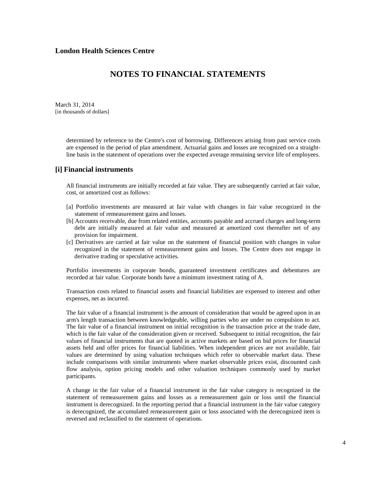March 31, 2014 [in thousands of dollars]

> determined by reference to the Centre's cost of borrowing. Differences arising from past service costs are expensed in the period of plan amendment. Actuarial gains and losses are recognized on a straightline basis in the statement of operations over the expected average remaining service life of employees.

#### **[i] Financial instruments**

All financial instruments are initially recorded at fair value. They are subsequently carried at fair value, cost, or amortized cost as follows:

- [a] Portfolio investments are measured at fair value with changes in fair value recognized in the statement of remeasurement gains and losses.
- [b] Accounts receivable, due from related entities, accounts payable and accrued charges and long-term debt are initially measured at fair value and measured at amortized cost thereafter net of any provision for impairment.
- [c] Derivatives are carried at fair value on the statement of financial position with changes in value recognized in the statement of remeasurement gains and losses. The Centre does not engage in derivative trading or speculative activities.

Portfolio investments in corporate bonds, guaranteed investment certificates and debentures are recorded at fair value. Corporate bonds have a minimum investment rating of A.

Transaction costs related to financial assets and financial liabilities are expensed to interest and other expenses, net as incurred.

The fair value of a financial instrument is the amount of consideration that would be agreed upon in an arm's length transaction between knowledgeable, willing parties who are under no compulsion to act. The fair value of a financial instrument on initial recognition is the transaction price at the trade date, which is the fair value of the consideration given or received. Subsequent to initial recognition, the fair values of financial instruments that are quoted in active markets are based on bid prices for financial assets held and offer prices for financial liabilities. When independent prices are not available, fair values are determined by using valuation techniques which refer to observable market data. These include comparisons with similar instruments where market observable prices exist, discounted cash flow analysis, option pricing models and other valuation techniques commonly used by market participants.

A change in the fair value of a financial instrument in the fair value category is recognized in the statement of remeasurement gains and losses as a remeasurement gain or loss until the financial instrument is derecognized. In the reporting period that a financial instrument in the fair value category is derecognized, the accumulated remeasurement gain or loss associated with the derecognized item is reversed and reclassified to the statement of operations.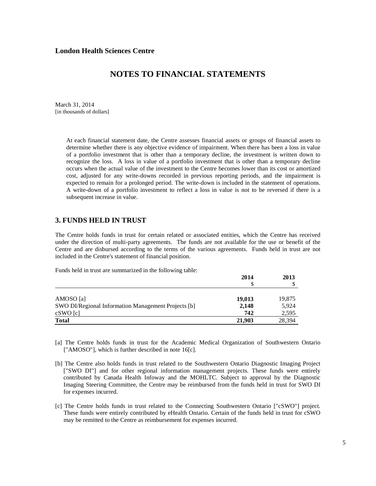## **NOTES TO FINANCIAL STATEMENTS**

March 31, 2014 [in thousands of dollars]

> At each financial statement date, the Centre assesses financial assets or groups of financial assets to determine whether there is any objective evidence of impairment. When there has been a loss in value of a portfolio investment that is other than a temporary decline, the investment is written down to recognize the loss. A loss in value of a portfolio investment that is other than a temporary decline occurs when the actual value of the investment to the Centre becomes lower than its cost or amortized cost, adjusted for any write-downs recorded in previous reporting periods, and the impairment is expected to remain for a prolonged period. The write-down is included in the statement of operations. A write-down of a portfolio investment to reflect a loss in value is not to be reversed if there is a subsequent increase in value.

### **3. FUNDS HELD IN TRUST**

The Centre holds funds in trust for certain related or associated entities, which the Centre has received under the direction of multi-party agreements. The funds are not available for the use or benefit of the Centre and are disbursed according to the terms of the various agreements. Funds held in trust are not included in the Centre's statement of financial position.

Funds held in trust are summarized in the following table:

|                                                            | 2014   | 2013   |
|------------------------------------------------------------|--------|--------|
|                                                            |        |        |
|                                                            |        |        |
| AMOSO [a]                                                  | 19,013 | 19,875 |
| <b>SWO DI/Regional Information Management Projects [b]</b> | 2,148  | 5,924  |
| cSWO[c]                                                    | 742    | 2,595  |
| <b>Total</b>                                               | 21,903 | 28.394 |

- [a] The Centre holds funds in trust for the Academic Medical Organization of Southwestern Ontario ["AMOSO"], which is further described in note 16[c].
- [b] The Centre also holds funds in trust related to the Southwestern Ontario Diagnostic Imaging Project ["SWO DI"] and for other regional information management projects. These funds were entirely contributed by Canada Health Infoway and the MOHLTC. Subject to approval by the Diagnostic Imaging Steering Committee, the Centre may be reimbursed from the funds held in trust for SWO DI for expenses incurred.
- [c] The Centre holds funds in trust related to the Connecting Southwestern Ontario ["cSWO"] project. These funds were entirely contributed by eHealth Ontario. Certain of the funds held in trust for cSWO may be remitted to the Centre as reimbursement for expenses incurred.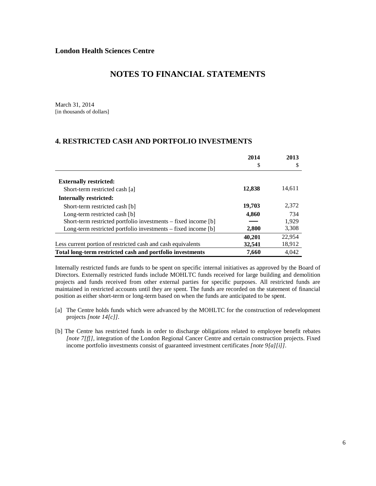March 31, 2014 [in thousands of dollars]

### **4. RESTRICTED CASH AND PORTFOLIO INVESTMENTS**

|                                                                | 2014   | 2013   |
|----------------------------------------------------------------|--------|--------|
|                                                                | \$     | S      |
|                                                                |        |        |
| <b>Externally restricted:</b>                                  |        |        |
| Short-term restricted cash [a]                                 | 12,838 | 14,611 |
| <b>Internally restricted:</b>                                  |        |        |
| Short-term restricted cash [b]                                 | 19,703 | 2,372  |
| Long-term restricted cash [b]                                  | 4,860  | 734    |
| Short-term restricted portfolio investments – fixed income [b] |        | 1,929  |
| Long-term restricted portfolio investments – fixed income [b]  | 2,800  | 3,308  |
|                                                                | 40.201 | 22.954 |
| Less current portion of restricted cash and cash equivalents   | 32.541 | 18,912 |
| Total long-term restricted cash and portfolio investments      | 7,660  | 4.042  |

Internally restricted funds are funds to be spent on specific internal initiatives as approved by the Board of Directors. Externally restricted funds include MOHLTC funds received for large building and demolition projects and funds received from other external parties for specific purposes. All restricted funds are maintained in restricted accounts until they are spent. The funds are recorded on the statement of financial position as either short-term or long-term based on when the funds are anticipated to be spent.

- [a] The Centre holds funds which were advanced by the MOHLTC for the construction of redevelopment projects *[note 14[c]].*
- [b] The Centre has restricted funds in order to discharge obligations related to employee benefit rebates *[note 7[f]],* integration of the London Regional Cancer Centre and certain construction projects. Fixed income portfolio investments consist of guaranteed investment certificates *[note 9[a][i]]*.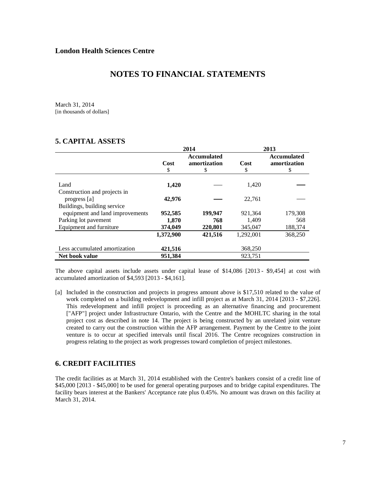March 31, 2014 [in thousands of dollars]

## **5. CAPITAL ASSETS**

|                                                         | 2014             |                                          | 2013             |                                          |
|---------------------------------------------------------|------------------|------------------------------------------|------------------|------------------------------------------|
|                                                         | Cost<br>\$       | <b>Accumulated</b><br>amortization<br>\$ | Cost<br>\$       | <b>Accumulated</b><br>amortization<br>\$ |
| Land                                                    | 1,420            |                                          | 1,420            |                                          |
| Construction and projects in<br>progress [a]            | 42,976           |                                          | 22,761           |                                          |
| Buildings, building service                             |                  |                                          |                  |                                          |
| equipment and land improvements<br>Parking lot pavement | 952,585<br>1,870 | 199,947<br>768                           | 921,364<br>1,409 | 179,308<br>568                           |
| Equipment and furniture                                 | 374,049          | 220,801                                  | 345,047          | 188,374                                  |
|                                                         | 1,372,900        | 421,516                                  | 1,292,001        | 368,250                                  |
| Less accumulated amortization                           | 421,516          |                                          | 368,250          |                                          |
| Net book value                                          | 951,384          |                                          | 923,751          |                                          |

The above capital assets include assets under capital lease of \$14,086 [2013 - \$9,454] at cost with accumulated amortization of \$4,593 [2013 - \$4,161].

[a] Included in the construction and projects in progress amount above is \$17,510 related to the value of work completed on a building redevelopment and infill project as at March 31, 2014 [2013 - \$7,226]. This redevelopment and infill project is proceeding as an alternative financing and procurement ["AFP"] project under Infrastructure Ontario, with the Centre and the MOHLTC sharing in the total project cost as described in note 14. The project is being constructed by an unrelated joint venture created to carry out the construction within the AFP arrangement. Payment by the Centre to the joint venture is to occur at specified intervals until fiscal 2016. The Centre recognizes construction in progress relating to the project as work progresses toward completion of project milestones.

## **6. CREDIT FACILITIES**

The credit facilities as at March 31, 2014 established with the Centre's bankers consist of a credit line of \$45,000 [2013 - \$45,000] to be used for general operating purposes and to bridge capital expenditures. The facility bears interest at the Bankers' Acceptance rate plus 0.45%. No amount was drawn on this facility at March 31, 2014.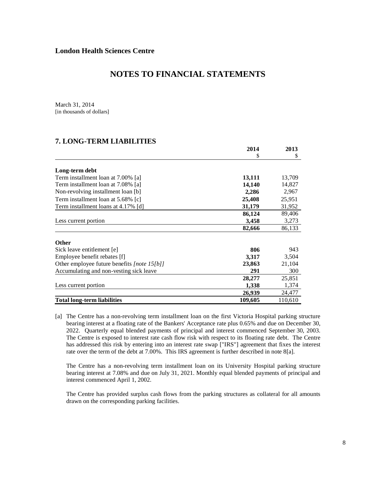## **NOTES TO FINANCIAL STATEMENTS**

March 31, 2014 [in thousands of dollars]

### **7. LONG-TERM LIABILITIES**

|                                             | 2014    | 2013    |
|---------------------------------------------|---------|---------|
|                                             | \$      | \$      |
| Long-term debt                              |         |         |
| Term installment loan at 7.00% [a]          | 13,111  | 13,709  |
| Term installment loan at 7.08% [a]          | 14,140  | 14,827  |
| Non-revolving installment loan [b]          | 2,286   | 2,967   |
| Term installment loan at 5.68% [c]          | 25,408  | 25,951  |
| Term installment loans at 4.17% [d]         | 31,179  | 31,952  |
|                                             | 86,124  | 89,406  |
| Less current portion                        | 3,458   | 3,273   |
|                                             | 82,666  | 86,133  |
| <b>Other</b>                                |         |         |
| Sick leave entitlement [e]                  | 806     | 943     |
| Employee benefit rebates [f]                | 3,317   | 3,504   |
| Other employee future benefits [note 15[b]] | 23,863  | 21,104  |
| Accumulating and non-vesting sick leave     | 291     | 300     |
|                                             | 28,277  | 25,851  |
| Less current portion                        | 1,338   | 1,374   |
|                                             | 26,939  | 24,477  |
| Total long-term liabilities                 | 109,605 | 110,610 |

[a] The Centre has a non-revolving term installment loan on the first Victoria Hospital parking structure bearing interest at a floating rate of the Bankers' Acceptance rate plus 0.65% and due on December 30, 2022. Quarterly equal blended payments of principal and interest commenced September 30, 2003. The Centre is exposed to interest rate cash flow risk with respect to its floating rate debt. The Centre has addressed this risk by entering into an interest rate swap ["IRS"] agreement that fixes the interest rate over the term of the debt at 7.00%. This IRS agreement is further described in note 8[a].

 The Centre has a non-revolving term installment loan on its University Hospital parking structure bearing interest at 7.08% and due on July 31, 2021. Monthly equal blended payments of principal and interest commenced April 1, 2002.

 The Centre has provided surplus cash flows from the parking structures as collateral for all amounts drawn on the corresponding parking facilities.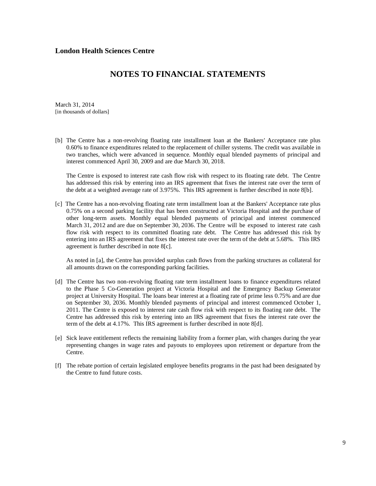## **NOTES TO FINANCIAL STATEMENTS**

March 31, 2014 [in thousands of dollars]

[b] The Centre has a non-revolving floating rate installment loan at the Bankers' Acceptance rate plus 0.60% to finance expenditures related to the replacement of chiller systems. The credit was available in two tranches, which were advanced in sequence. Monthly equal blended payments of principal and interest commenced April 30, 2009 and are due March 30, 2018.

 The Centre is exposed to interest rate cash flow risk with respect to its floating rate debt. The Centre has addressed this risk by entering into an IRS agreement that fixes the interest rate over the term of the debt at a weighted average rate of 3.975%. This IRS agreement is further described in note 8[b].

[c] The Centre has a non-revolving floating rate term installment loan at the Bankers' Acceptance rate plus 0.75% on a second parking facility that has been constructed at Victoria Hospital and the purchase of other long-term assets. Monthly equal blended payments of principal and interest commenced March 31, 2012 and are due on September 30, 2036. The Centre will be exposed to interest rate cash flow risk with respect to its committed floating rate debt. The Centre has addressed this risk by entering into an IRS agreement that fixes the interest rate over the term of the debt at 5.68%. This IRS agreement is further described in note 8[c].

As noted in [a], the Centre has provided surplus cash flows from the parking structures as collateral for all amounts drawn on the corresponding parking facilities.

- [d] The Centre has two non-revolving floating rate term installment loans to finance expenditures related to the Phase 5 Co-Generation project at Victoria Hospital and the Emergency Backup Generator project at University Hospital. The loans bear interest at a floating rate of prime less 0.75% and are due on September 30, 2036. Monthly blended payments of principal and interest commenced October 1, 2011. The Centre is exposed to interest rate cash flow risk with respect to its floating rate debt. The Centre has addressed this risk by entering into an IRS agreement that fixes the interest rate over the term of the debt at 4.17%. This IRS agreement is further described in note 8[d].
- [e] Sick leave entitlement reflects the remaining liability from a former plan, with changes during the year representing changes in wage rates and payouts to employees upon retirement or departure from the Centre.
- [f] The rebate portion of certain legislated employee benefits programs in the past had been designated by the Centre to fund future costs.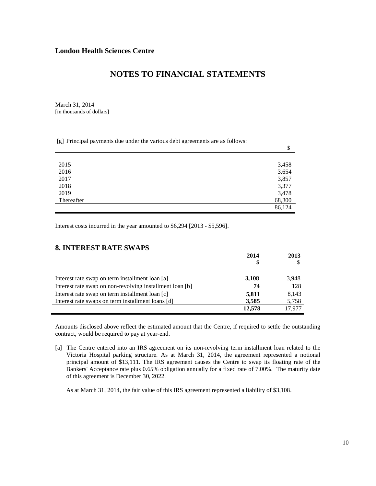## **NOTES TO FINANCIAL STATEMENTS**

March 31, 2014 [in thousands of dollars]

[g] Principal payments due under the various debt agreements are as follows:

|            | \$     |
|------------|--------|
|            |        |
| 2015       | 3,458  |
| 2016       | 3,654  |
| 2017       | 3,857  |
| 2018       | 3,377  |
| 2019       | 3,478  |
| Thereafter | 68,300 |
|            | 86,124 |

Interest costs incurred in the year amounted to \$6,294 [2013 - \$5,596].

## **8. INTEREST RATE SWAPS**

|                                                          | 2014   | 2013   |
|----------------------------------------------------------|--------|--------|
|                                                          |        |        |
|                                                          |        |        |
| Interest rate swap on term installment loan [a]          | 3,108  | 3,948  |
| Interest rate swap on non-revolving installment loan [b] | 74     | 128    |
| Interest rate swap on term installment loan [c]          | 5,811  | 8.143  |
| Interest rate swaps on term installment loans [d]        | 3,585  | 5,758  |
|                                                          | 12.578 | 17.977 |

Amounts disclosed above reflect the estimated amount that the Centre, if required to settle the outstanding contract, would be required to pay at year-end.

[a] The Centre entered into an IRS agreement on its non-revolving term installment loan related to the Victoria Hospital parking structure. As at March 31, 2014, the agreement represented a notional principal amount of \$13,111. The IRS agreement causes the Centre to swap its floating rate of the Bankers' Acceptance rate plus 0.65% obligation annually for a fixed rate of 7.00%. The maturity date of this agreement is December 30, 2022.

As at March 31, 2014, the fair value of this IRS agreement represented a liability of \$3,108.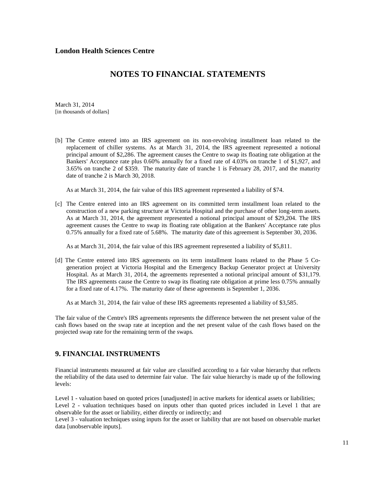March 31, 2014 [in thousands of dollars]

[b] The Centre entered into an IRS agreement on its non-revolving installment loan related to the replacement of chiller systems. As at March 31, 2014, the IRS agreement represented a notional principal amount of \$2,286. The agreement causes the Centre to swap its floating rate obligation at the Bankers' Acceptance rate plus 0.60% annually for a fixed rate of 4.03% on tranche 1 of \$1,927, and 3.65% on tranche 2 of \$359. The maturity date of tranche 1 is February 28, 2017, and the maturity date of tranche 2 is March 30, 2018.

As at March 31, 2014, the fair value of this IRS agreement represented a liability of \$74.

[c] The Centre entered into an IRS agreement on its committed term installment loan related to the construction of a new parking structure at Victoria Hospital and the purchase of other long-term assets. As at March 31, 2014, the agreement represented a notional principal amount of \$29,204. The IRS agreement causes the Centre to swap its floating rate obligation at the Bankers' Acceptance rate plus 0.75% annually for a fixed rate of 5.68%. The maturity date of this agreement is September 30, 2036.

As at March 31, 2014, the fair value of this IRS agreement represented a liability of \$5,811.

[d] The Centre entered into IRS agreements on its term installment loans related to the Phase 5 Cogeneration project at Victoria Hospital and the Emergency Backup Generator project at University Hospital. As at March 31, 2014, the agreements represented a notional principal amount of \$31,179. The IRS agreements cause the Centre to swap its floating rate obligation at prime less 0.75% annually for a fixed rate of 4.17%. The maturity date of these agreements is September 1, 2036.

As at March 31, 2014, the fair value of these IRS agreements represented a liability of \$3,585.

The fair value of the Centre's IRS agreements represents the difference between the net present value of the cash flows based on the swap rate at inception and the net present value of the cash flows based on the projected swap rate for the remaining term of the swaps.

## **9. FINANCIAL INSTRUMENTS**

Financial instruments measured at fair value are classified according to a fair value hierarchy that reflects the reliability of the data used to determine fair value. The fair value hierarchy is made up of the following levels:

Level 1 - valuation based on quoted prices [unadjusted] in active markets for identical assets or liabilities; Level 2 - valuation techniques based on inputs other than quoted prices included in Level 1 that are observable for the asset or liability, either directly or indirectly; and

Level 3 - valuation techniques using inputs for the asset or liability that are not based on observable market data [unobservable inputs].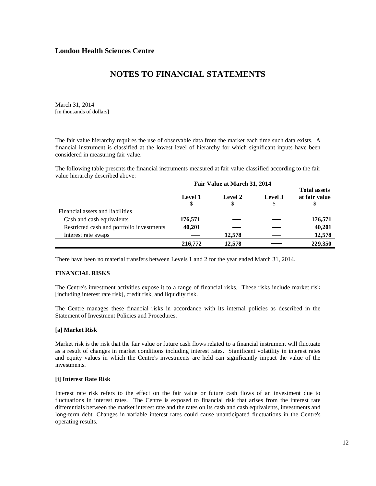March 31, 2014 [in thousands of dollars]

The fair value hierarchy requires the use of observable data from the market each time such data exists. A financial instrument is classified at the lowest level of hierarchy for which significant inputs have been considered in measuring fair value.

The following table presents the financial instruments measured at fair value classified according to the fair value hierarchy described above:

|                                           | Fair Value at March 31, 2014 |         |         |                                      |  |
|-------------------------------------------|------------------------------|---------|---------|--------------------------------------|--|
|                                           | Level 1                      | Level 2 | Level 3 | <b>Total assets</b><br>at fair value |  |
| Financial assets and liabilities          |                              |         |         |                                      |  |
| Cash and cash equivalents                 | 176,571                      |         |         | 176,571                              |  |
| Restricted cash and portfolio investments | 40,201                       |         |         | 40,201                               |  |
| Interest rate swaps                       |                              | 12,578  |         | 12,578                               |  |
|                                           | 216,772                      | 12,578  |         | 229,350                              |  |

There have been no material transfers between Levels 1 and 2 for the year ended March 31, 2014.

#### **FINANCIAL RISKS**

The Centre's investment activities expose it to a range of financial risks. These risks include market risk [including interest rate risk], credit risk, and liquidity risk.

The Centre manages these financial risks in accordance with its internal policies as described in the Statement of Investment Policies and Procedures.

#### **[a] Market Risk**

Market risk is the risk that the fair value or future cash flows related to a financial instrument will fluctuate as a result of changes in market conditions including interest rates. Significant volatility in interest rates and equity values in which the Centre's investments are held can significantly impact the value of the investments.

#### **[i] Interest Rate Risk**

Interest rate risk refers to the effect on the fair value or future cash flows of an investment due to fluctuations in interest rates. The Centre is exposed to financial risk that arises from the interest rate differentials between the market interest rate and the rates on its cash and cash equivalents, investments and long-term debt. Changes in variable interest rates could cause unanticipated fluctuations in the Centre's operating results.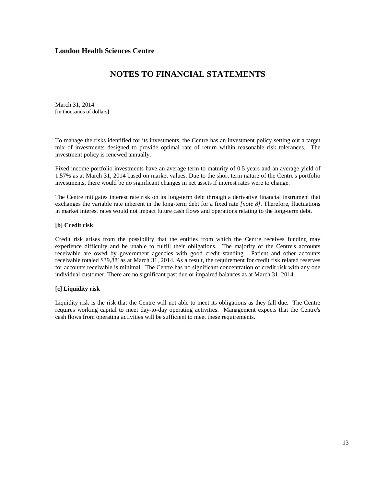## **NOTES TO FINANCIAL STATEMENTS**

March 31, 2014 [in thousands of dollars]

To manage the risks identified for its investments, the Centre has an investment policy setting out a target mix of investments designed to provide optimal rate of return within reasonable risk tolerances. The investment policy is renewed annually.

Fixed income portfolio investments have an average term to maturity of 0.5 years and an average yield of 1.57% as at March 31, 2014 based on market values. Due to the short term nature of the Centre's portfolio investments, there would be no significant changes in net assets if interest rates were to change.

The Centre mitigates interest rate risk on its long-term debt through a derivative financial instrument that exchanges the variable rate inherent in the long-term debt for a fixed rate *[note 8]*. Therefore, fluctuations in market interest rates would not impact future cash flows and operations relating to the long-term debt.

#### **[b] Credit risk**

Credit risk arises from the possibility that the entities from which the Centre receives funding may experience difficulty and be unable to fulfill their obligations. The majority of the Centre's accounts receivable are owed by government agencies with good credit standing. Patient and other accounts receivable totaled \$39,881as at March 31, 2014. As a result, the requirement for credit risk related reserves for accounts receivable is minimal. The Centre has no significant concentration of credit risk with any one individual customer. There are no significant past due or impaired balances as at March 31, 2014.

### **[c] Liquidity risk**

Liquidity risk is the risk that the Centre will not able to meet its obligations as they fall due. The Centre requires working capital to meet day-to-day operating activities. Management expects that the Centre's cash flows from operating activities will be sufficient to meet these requirements.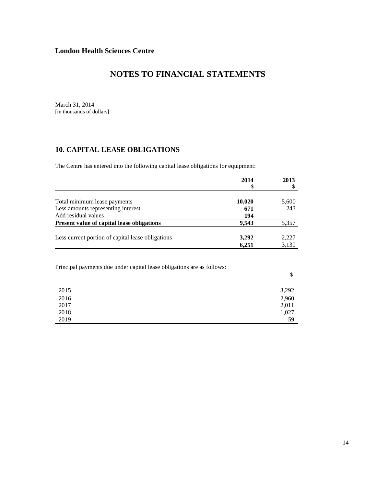## **NOTES TO FINANCIAL STATEMENTS**

March 31, 2014 [in thousands of dollars]

## **10. CAPITAL LEASE OBLIGATIONS**

The Centre has entered into the following capital lease obligations for equipment:

|                                                   | 2014<br>\$ | 2013  |
|---------------------------------------------------|------------|-------|
|                                                   |            |       |
| Total minimum lease payments                      | 10,020     | 5,600 |
| Less amounts representing interest                | 671        | 243   |
| Add residual values                               | 194        |       |
| <b>Present value of capital lease obligations</b> | 9.543      | 5,357 |
| Less current portion of capital lease obligations | 3,292      | 2,227 |
|                                                   | 6,251      | 3,130 |

Principal payments due under capital lease obligations are as follows:

|      | ٠D    |
|------|-------|
|      |       |
| 2015 | 3,292 |
| 2016 | 2,960 |
| 2017 | 2,011 |
| 2018 | 1,027 |
| 2019 | 59    |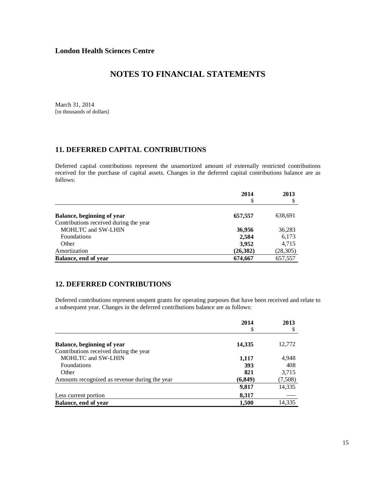March 31, 2014 [in thousands of dollars]

## **11. DEFERRED CAPITAL CONTRIBUTIONS**

Deferred capital contributions represent the unamortized amount of externally restricted contributions received for the purchase of capital assets. Changes in the deferred capital contributions balance are as follows:

|                                        | 2014<br>\$ | 2013      |
|----------------------------------------|------------|-----------|
|                                        |            |           |
| Balance, beginning of year             | 657,557    | 638,691   |
| Contributions received during the year |            |           |
| <b>MOHLTC</b> and SW-LHIN              | 36,956     | 36,283    |
| <b>Foundations</b>                     | 2,584      | 6,173     |
| Other                                  | 3,952      | 4,715     |
| Amortization                           | (26, 382)  | (28, 305) |
| Balance, end of year                   | 674,667    | 657,557   |

## **12. DEFERRED CONTRIBUTIONS**

Deferred contributions represent unspent grants for operating purposes that have been received and relate to a subsequent year. Changes in the deferred contributions balance are as follows:

|                                               | 2014<br>\$ | 2013    |
|-----------------------------------------------|------------|---------|
|                                               |            |         |
| Balance, beginning of year                    | 14,335     | 12,772  |
| Contributions received during the year        |            |         |
| <b>MOHLTC and SW-LHIN</b>                     | 1,117      | 4,948   |
| <b>Foundations</b>                            | 393        | 408     |
| Other                                         | 821        | 3,715   |
| Amounts recognized as revenue during the year | (6,849)    | (7,508) |
|                                               | 9,817      | 14,335  |
| Less current portion                          | 8,317      |         |
| Balance, end of year                          | 1,500      | 14,335  |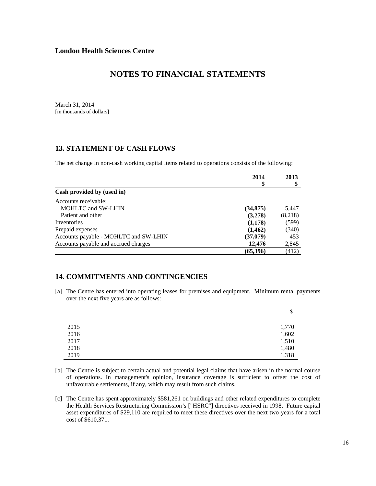March 31, 2014 [in thousands of dollars]

## **13. STATEMENT OF CASH FLOWS**

The net change in non-cash working capital items related to operations consists of the following:

|                                       | 2014      | 2013    |
|---------------------------------------|-----------|---------|
|                                       | S         | \$      |
| Cash provided by (used in)            |           |         |
| Accounts receivable:                  |           |         |
| <b>MOHLTC and SW-LHIN</b>             | (34, 875) | 5,447   |
| Patient and other                     | (3,278)   | (8,218) |
| Inventories                           | (1,178)   | (599)   |
| Prepaid expenses                      | (1, 462)  | (340)   |
| Accounts payable - MOHLTC and SW-LHIN | (37,079)  | 453     |
| Accounts payable and accrued charges  | 12.476    | 2,845   |
|                                       | (65,396)  | (412)   |

## **14. COMMITMENTS AND CONTINGENCIES**

[a] The Centre has entered into operating leases for premises and equipment. Minimum rental payments over the next five years are as follows:

|      | \$    |
|------|-------|
|      |       |
| 2015 | 1,770 |
| 2016 | 1,602 |
| 2017 | 1,510 |
| 2018 | 1,480 |
| 2019 | 1,318 |

- [b] The Centre is subject to certain actual and potential legal claims that have arisen in the normal course of operations. In management's opinion, insurance coverage is sufficient to offset the cost of unfavourable settlements, if any, which may result from such claims.
- [c] The Centre has spent approximately \$581,261 on buildings and other related expenditures to complete the Health Services Restructuring Commission's ["HSRC"] directives received in 1998. Future capital asset expenditures of \$29,110 are required to meet these directives over the next two years for a total cost of \$610,371.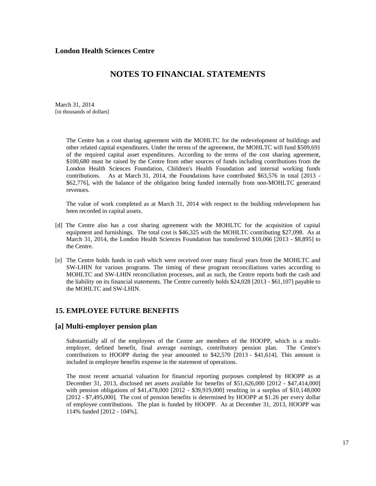## **NOTES TO FINANCIAL STATEMENTS**

March 31, 2014 [in thousands of dollars]

> The Centre has a cost sharing agreement with the MOHLTC for the redevelopment of buildings and other related capital expenditures. Under the terms of the agreement, the MOHLTC will fund \$509,691 of the required capital asset expenditures. According to the terms of the cost sharing agreement, \$100,680 must be raised by the Centre from other sources of funds including contributions from the London Health Sciences Foundation, Children's Health Foundation and internal working funds contributions. As at March 31, 2014, the Foundations have contributed \$63,576 in total [2013 - \$62,776], with the balance of the obligation being funded internally from non-MOHLTC generated revenues.

> The value of work completed as at March 31, 2014 with respect to the building redevelopment has been recorded in capital assets.

- [d] The Centre also has a cost sharing agreement with the MOHLTC for the acquisition of capital equipment and furnishings. The total cost is \$46,325 with the MOHLTC contributing \$27,098. As at March 31, 2014, the London Health Sciences Foundation has transferred \$10,066 [2013 - \$8,895] to the Centre.
- [e] The Centre holds funds in cash which were received over many fiscal years from the MOHLTC and SW-LHIN for various programs. The timing of these program reconciliations varies according to MOHLTC and SW-LHIN reconciliation processes, and as such, the Centre reports both the cash and the liability on its financial statements. The Centre currently holds \$24,028 [2013 - \$61,107] payable to the MOHLTC and SW-LHIN.

### **15. EMPLOYEE FUTURE BENEFITS**

### **[a] Multi-employer pension plan**

Substantially all of the employees of the Centre are members of the HOOPP, which is a multiemployer, defined benefit, final average earnings, contributory pension plan. The Centre's contributions to HOOPP during the year amounted to \$42,570 [2013 - \$41,614]. This amount is included in employee benefits expense in the statement of operations.

The most recent actuarial valuation for financial reporting purposes completed by HOOPP as at December 31, 2013, disclosed net assets available for benefits of \$51,626,000 [2012 - \$47,414,000] with pension obligations of \$41,478,000 [2012 - \$39,919,000] resulting in a surplus of \$10,148,000 [2012 - \$7,495,000]. The cost of pension benefits is determined by HOOPP at \$1.26 per every dollar of employee contributions. The plan is funded by HOOPP. As at December 31, 2013, HOOPP was 114% funded [2012 - 104%].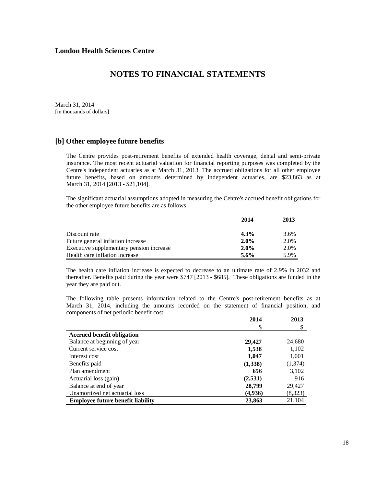March 31, 2014 [in thousands of dollars]

### **[b] Other employee future benefits**

The Centre provides post-retirement benefits of extended health coverage, dental and semi-private insurance. The most recent actuarial valuation for financial reporting purposes was completed by the Centre's independent actuaries as at March 31, 2013. The accrued obligations for all other employee future benefits, based on amounts determined by independent actuaries, are \$23,863 as at March 31, 2014 [2013 - \$21,104].

 The significant actuarial assumptions adopted in measuring the Centre's accrued benefit obligations for the other employee future benefits are as follows:

|                                          | 2014    | 2013 |
|------------------------------------------|---------|------|
|                                          |         |      |
| Discount rate                            | $4.3\%$ | 3.6% |
| Future general inflation increase        | $2.0\%$ | 2.0% |
| Executive supplementary pension increase | $2.0\%$ | 2.0% |
| Health care inflation increase           | 5.6%    | 5.9% |

 The health care inflation increase is expected to decrease to an ultimate rate of 2.9% in 2032 and thereafter. Benefits paid during the year were \$747 [2013 - \$685]. These obligations are funded in the year they are paid out.

The following table presents information related to the Centre's post-retirement benefits as at March 31, 2014, including the amounts recorded on the statement of financial position, and components of net periodic benefit cost:

|                                          | 2014    | 2013    |
|------------------------------------------|---------|---------|
|                                          | S       |         |
| <b>Accrued benefit obligation</b>        |         |         |
| Balance at beginning of year             | 29,427  | 24,680  |
| Current service cost                     | 1,538   | 1,102   |
| Interest cost                            | 1,047   | 1,001   |
| Benefits paid                            | (1,338) | (1,374) |
| Plan amendment                           | 656     | 3,102   |
| Actuarial loss (gain)                    | (2,531) | 916     |
| Balance at end of year                   | 28,799  | 29,427  |
| Unamortized net actuarial loss           | (4,936) | (8,323) |
| <b>Employee future benefit liability</b> | 23,863  | 21,104  |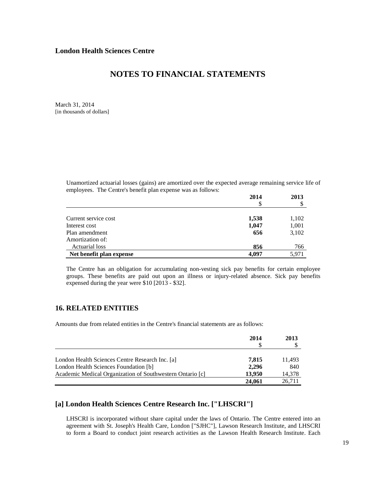March 31, 2014 [in thousands of dollars]

> Unamortized actuarial losses (gains) are amortized over the expected average remaining service life of employees. The Centre's benefit plan expense was as follows:

|                          | 2014  | 2013  |
|--------------------------|-------|-------|
|                          |       |       |
| Current service cost     | 1,538 | 1,102 |
| Interest cost            | 1,047 | 1,001 |
| Plan amendment           | 656   | 3,102 |
| Amortization of:         |       |       |
| Actuarial loss           | 856   | 766   |
| Net benefit plan expense | 4,097 | 5,971 |

The Centre has an obligation for accumulating non-vesting sick pay benefits for certain employee groups. These benefits are paid out upon an illness or injury-related absence. Sick pay benefits expensed during the year were \$10 [2013 - \$32].

### **16. RELATED ENTITIES**

Amounts due from related entities in the Centre's financial statements are as follows:

|                                                           | 2014   | 2013   |
|-----------------------------------------------------------|--------|--------|
| London Health Sciences Centre Research Inc. [a]           | 7,815  | 11,493 |
| London Health Sciences Foundation [b]                     | 2.296  | 840    |
| Academic Medical Organization of Southwestern Ontario [c] | 13.950 | 14,378 |
|                                                           | 24,061 | 26.711 |

### **[a] London Health Sciences Centre Research Inc. ["LHSCRI"]**

LHSCRI is incorporated without share capital under the laws of Ontario. The Centre entered into an agreement with St. Joseph's Health Care, London ["SJHC"], Lawson Research Institute, and LHSCRI to form a Board to conduct joint research activities as the Lawson Health Research Institute. Each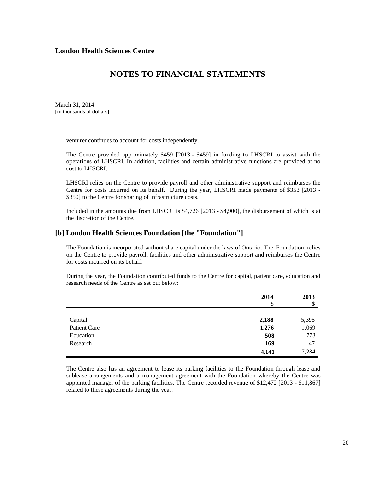## **NOTES TO FINANCIAL STATEMENTS**

March 31, 2014 [in thousands of dollars]

venturer continues to account for costs independently.

The Centre provided approximately \$459 [2013 - \$459] in funding to LHSCRI to assist with the operations of LHSCRI. In addition, facilities and certain administrative functions are provided at no cost to LHSCRI.

 LHSCRI relies on the Centre to provide payroll and other administrative support and reimburses the Centre for costs incurred on its behalf. During the year, LHSCRI made payments of \$353 [2013 - \$350] to the Centre for sharing of infrastructure costs.

Included in the amounts due from LHSCRI is \$4,726 [2013 - \$4,900], the disbursement of which is at the discretion of the Centre.

### **[b] London Health Sciences Foundation [the "Foundation"]**

The Foundation is incorporated without share capital under the laws of Ontario. The Foundation relies on the Centre to provide payroll, facilities and other administrative support and reimburses the Centre for costs incurred on its behalf.

During the year, the Foundation contributed funds to the Centre for capital, patient care, education and research needs of the Centre as set out below:

|              | 2014<br>\$ | 2013<br>\$ |
|--------------|------------|------------|
|              |            |            |
|              |            |            |
| Capital      | 2,188      | 5,395      |
| Patient Care | 1,276      | 1,069      |
| Education    | 508        | 773        |
| Research     | 169        | 47         |
|              | 4,141      | 7,284      |

The Centre also has an agreement to lease its parking facilities to the Foundation through lease and sublease arrangements and a management agreement with the Foundation whereby the Centre was appointed manager of the parking facilities. The Centre recorded revenue of \$12,472 [2013 - \$11,867] related to these agreements during the year.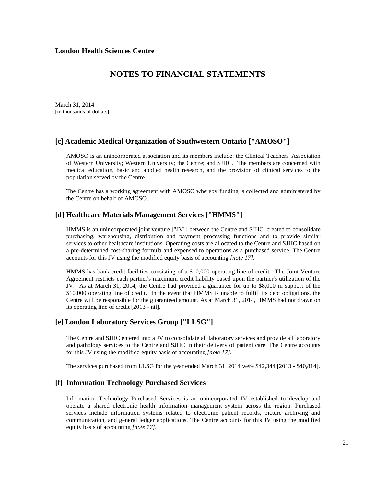March 31, 2014 [in thousands of dollars]

### **[c] Academic Medical Organization of Southwestern Ontario ["AMOSO"]**

AMOSO is an unincorporated association and its members include: the Clinical Teachers' Association of Western University; Western University; the Centre; and SJHC. The members are concerned with medical education, basic and applied health research, and the provision of clinical services to the population served by the Centre.

The Centre has a working agreement with AMOSO whereby funding is collected and administered by the Centre on behalf of AMOSO.

### **[d] Healthcare Materials Management Services ["HMMS"]**

HMMS is an unincorporated joint venture ["JV"] between the Centre and SJHC, created to consolidate purchasing, warehousing, distribution and payment processing functions and to provide similar services to other healthcare institutions. Operating costs are allocated to the Centre and SJHC based on a pre-determined cost-sharing formula and expensed to operations as a purchased service. The Centre accounts for this JV using the modified equity basis of accounting *[note 17].*

HMMS has bank credit facilities consisting of a \$10,000 operating line of credit. The Joint Venture Agreement restricts each partner's maximum credit liability based upon the partner's utilization of the JV. As at March 31, 2014, the Centre had provided a guarantee for up to \$8,000 in support of the \$10,000 operating line of credit. In the event that HMMS is unable to fulfill its debt obligations, the Centre will be responsible for the guaranteed amount. As at March 31, 2014, HMMS had not drawn on its operating line of credit [2013 - nil].

### **[e] London Laboratory Services Group ["LLSG"]**

The Centre and SJHC entered into a JV to consolidate all laboratory services and provide all laboratory and pathology services to the Centre and SJHC in their delivery of patient care. The Centre accounts for this JV using the modified equity basis of accounting *[note 17].*

The services purchased from LLSG for the year ended March 31, 2014 were \$42,344 [2013 - \$40,814].

## **[f] Information Technology Purchased Services**

Information Technology Purchased Services is an unincorporated JV established to develop and operate a shared electronic health information management system across the region. Purchased services include information systems related to electronic patient records, picture archiving and communication, and general ledger applications. The Centre accounts for this JV using the modified equity basis of accounting *[note 17].*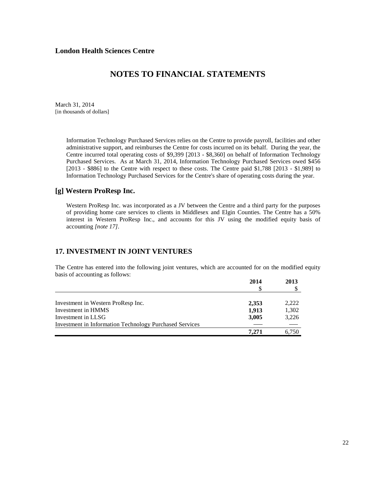## **NOTES TO FINANCIAL STATEMENTS**

March 31, 2014 [in thousands of dollars]

> Information Technology Purchased Services relies on the Centre to provide payroll, facilities and other administrative support, and reimburses the Centre for costs incurred on its behalf. During the year, the Centre incurred total operating costs of \$9,399 [2013 - \$8,360] on behalf of Information Technology Purchased Services. As at March 31, 2014, Information Technology Purchased Services owed \$456 [2013 - \$886] to the Centre with respect to these costs. The Centre paid \$1,788 [2013 - \$1,989] to Information Technology Purchased Services for the Centre's share of operating costs during the year.

### **[g] Western ProResp Inc.**

Western ProResp Inc. was incorporated as a JV between the Centre and a third party for the purposes of providing home care services to clients in Middlesex and Elgin Counties. The Centre has a 50% interest in Western ProResp Inc., and accounts for this JV using the modified equity basis of accounting *[note 17].*

### **17. INVESTMENT IN JOINT VENTURES**

The Centre has entered into the following joint ventures, which are accounted for on the modified equity basis of accounting as follows:

|                                                                | 2014  | 2013  |
|----------------------------------------------------------------|-------|-------|
|                                                                |       |       |
|                                                                |       |       |
| Investment in Western ProResp Inc.                             | 2,353 | 2.222 |
| Investment in HMMS                                             | 1,913 | 1,302 |
| Investment in LLSG                                             | 3,005 | 3.226 |
| <b>Investment in Information Technology Purchased Services</b> |       |       |
|                                                                | 7.271 | 6.750 |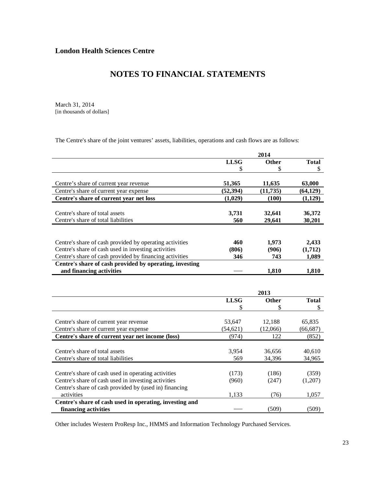March 31, 2014 [in thousands of dollars]

The Centre's share of the joint ventures' assets, liabilities, operations and cash flows are as follows:

|                                                                                            |             | 2014        |                    |
|--------------------------------------------------------------------------------------------|-------------|-------------|--------------------|
|                                                                                            | <b>LLSG</b> | Other       | <b>Total</b>       |
|                                                                                            | \$          | \$          | \$                 |
|                                                                                            |             |             |                    |
| Centre's share of current year revenue                                                     | 51,365      | 11,635      | 63,000             |
| Centre's share of current year expense                                                     | (52, 394)   | (11, 735)   | (64, 129)          |
| Centre's share of current year net loss                                                    | (1,029)     | (100)       | (1,129)            |
|                                                                                            |             |             |                    |
| Centre's share of total assets                                                             | 3,731       | 32,641      | 36,372             |
| Centre's share of total liabilities                                                        | 560         | 29,641      | 30,201             |
|                                                                                            |             |             |                    |
|                                                                                            |             |             |                    |
| Centre's share of cash provided by operating activities                                    | 460         | 1,973       | 2,433              |
| Centre's share of cash used in investing activities                                        | (806)       | (906)       | (1,712)            |
| Centre's share of cash provided by financing activities                                    | 346         | 743         | 1,089              |
| Centre's share of cash provided by operating, investing                                    |             |             |                    |
| and financing activities                                                                   |             | 1,810       | 1,810              |
|                                                                                            |             |             |                    |
|                                                                                            |             |             |                    |
|                                                                                            |             |             |                    |
|                                                                                            |             | 2013        |                    |
|                                                                                            | <b>LLSG</b> | Other<br>\$ | <b>Total</b><br>\$ |
|                                                                                            |             |             |                    |
|                                                                                            | 53,647      | 12,188      | 65,835             |
| Centre's share of current year revenue                                                     | (54, 621)   | (12,066)    | (66, 687)          |
| Centre's share of current year expense<br>Centre's share of current year net income (loss) | (974)       | 122         | (852)              |
|                                                                                            |             |             |                    |
| Centre's share of total assets                                                             | 3,954       | 36,656      |                    |
| Centre's share of total liabilities                                                        | 569         |             | 40,610             |
|                                                                                            |             | 34,396      | 34,965             |
|                                                                                            | (173)       | (186)       | (359)              |
| Centre's share of cash used in operating activities                                        | (960)       |             |                    |
| Centre's share of cash used in investing activities                                        |             | (247)       | (1,207)            |
| Centre's share of cash provided by (used in) financing<br>activities                       | 1,133       | (76)        | 1,057              |
| Centre's share of cash used in operating, investing and                                    |             |             |                    |

Other includes Western ProResp Inc., HMMS and Information Technology Purchased Services.